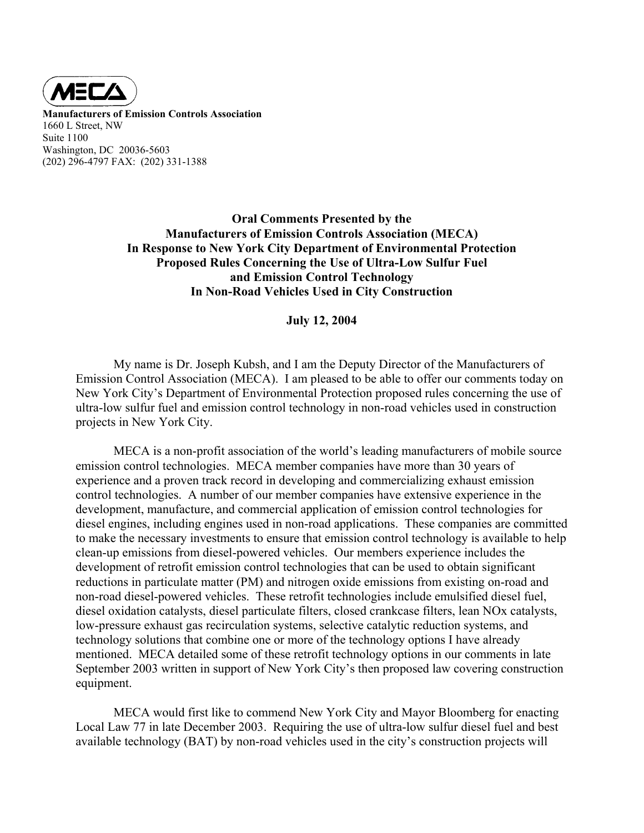

**Manufacturers of Emission Controls Association**  1660 L Street, NW Suite 1100 Washington, DC 20036-5603 (202) 296-4797 FAX: (202) 331-1388

> **Oral Comments Presented by the Manufacturers of Emission Controls Association (MECA) In Response to New York City Department of Environmental Protection Proposed Rules Concerning the Use of Ultra-Low Sulfur Fuel and Emission Control Technology In Non-Road Vehicles Used in City Construction**

## **July 12, 2004**

 My name is Dr. Joseph Kubsh, and I am the Deputy Director of the Manufacturers of Emission Control Association (MECA). I am pleased to be able to offer our comments today on New York City's Department of Environmental Protection proposed rules concerning the use of ultra-low sulfur fuel and emission control technology in non-road vehicles used in construction projects in New York City.

 MECA is a non-profit association of the world's leading manufacturers of mobile source emission control technologies. MECA member companies have more than 30 years of experience and a proven track record in developing and commercializing exhaust emission control technologies. A number of our member companies have extensive experience in the development, manufacture, and commercial application of emission control technologies for diesel engines, including engines used in non-road applications. These companies are committed to make the necessary investments to ensure that emission control technology is available to help clean-up emissions from diesel-powered vehicles. Our members experience includes the development of retrofit emission control technologies that can be used to obtain significant reductions in particulate matter (PM) and nitrogen oxide emissions from existing on-road and non-road diesel-powered vehicles. These retrofit technologies include emulsified diesel fuel, diesel oxidation catalysts, diesel particulate filters, closed crankcase filters, lean NOx catalysts, low-pressure exhaust gas recirculation systems, selective catalytic reduction systems, and technology solutions that combine one or more of the technology options I have already mentioned. MECA detailed some of these retrofit technology options in our comments in late September 2003 written in support of New York City's then proposed law covering construction equipment.

 MECA would first like to commend New York City and Mayor Bloomberg for enacting Local Law 77 in late December 2003. Requiring the use of ultra-low sulfur diesel fuel and best available technology (BAT) by non-road vehicles used in the city's construction projects will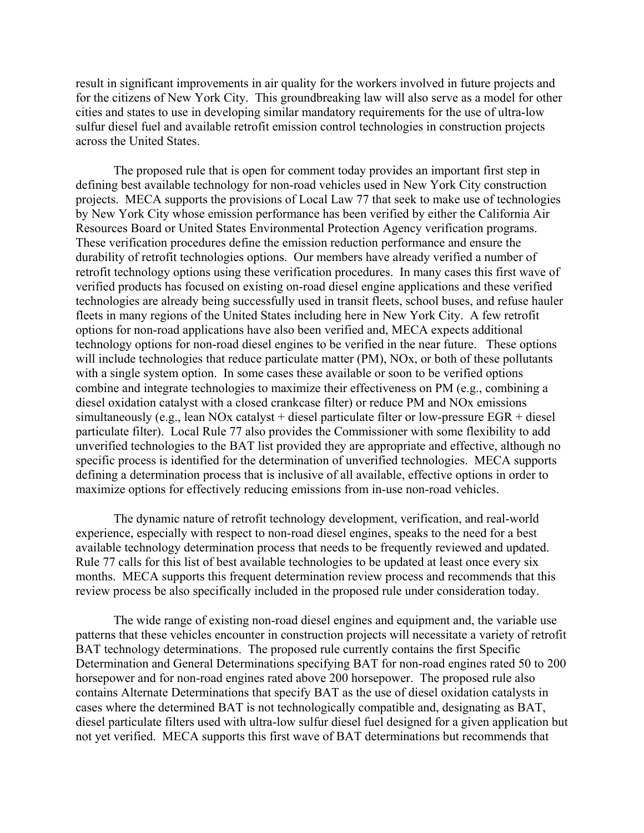result in significant improvements in air quality for the workers involved in future projects and for the citizens of New York City. This groundbreaking law will also serve as a model for other cities and states to use in developing similar mandatory requirements for the use of ultra-low sulfur diesel fuel and available retrofit emission control technologies in construction projects across the United States.

 The proposed rule that is open for comment today provides an important first step in defining best available technology for non-road vehicles used in New York City construction projects. MECA supports the provisions of Local Law 77 that seek to make use of technologies by New York City whose emission performance has been verified by either the California Air Resources Board or United States Environmental Protection Agency verification programs. These verification procedures define the emission reduction performance and ensure the durability of retrofit technologies options. Our members have already verified a number of retrofit technology options using these verification procedures. In many cases this first wave of verified products has focused on existing on-road diesel engine applications and these verified technologies are already being successfully used in transit fleets, school buses, and refuse hauler fleets in many regions of the United States including here in New York City. A few retrofit options for non-road applications have also been verified and, MECA expects additional technology options for non-road diesel engines to be verified in the near future. These options will include technologies that reduce particulate matter (PM), NOx, or both of these pollutants with a single system option. In some cases these available or soon to be verified options combine and integrate technologies to maximize their effectiveness on PM (e.g., combining a diesel oxidation catalyst with a closed crankcase filter) or reduce PM and NOx emissions simultaneously (e.g., lean NOx catalyst + diesel particulate filter or low-pressure EGR + diesel particulate filter). Local Rule 77 also provides the Commissioner with some flexibility to add unverified technologies to the BAT list provided they are appropriate and effective, although no specific process is identified for the determination of unverified technologies. MECA supports defining a determination process that is inclusive of all available, effective options in order to maximize options for effectively reducing emissions from in-use non-road vehicles.

The dynamic nature of retrofit technology development, verification, and real-world experience, especially with respect to non-road diesel engines, speaks to the need for a best available technology determination process that needs to be frequently reviewed and updated. Rule 77 calls for this list of best available technologies to be updated at least once every six months. MECA supports this frequent determination review process and recommends that this review process be also specifically included in the proposed rule under consideration today.

The wide range of existing non-road diesel engines and equipment and, the variable use patterns that these vehicles encounter in construction projects will necessitate a variety of retrofit BAT technology determinations. The proposed rule currently contains the first Specific Determination and General Determinations specifying BAT for non-road engines rated 50 to 200 horsepower and for non-road engines rated above 200 horsepower. The proposed rule also contains Alternate Determinations that specify BAT as the use of diesel oxidation catalysts in cases where the determined BAT is not technologically compatible and, designating as BAT, diesel particulate filters used with ultra-low sulfur diesel fuel designed for a given application but not yet verified. MECA supports this first wave of BAT determinations but recommends that